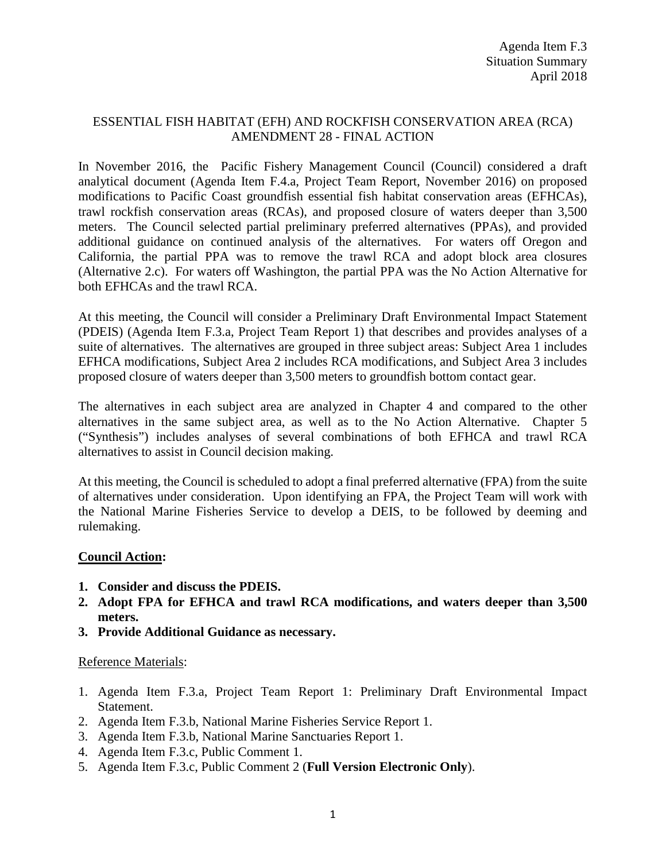## ESSENTIAL FISH HABITAT (EFH) AND ROCKFISH CONSERVATION AREA (RCA) AMENDMENT 28 - FINAL ACTION

In November 2016, the Pacific Fishery Management Council (Council) considered a draft analytical document (Agenda Item F.4.a, Project Team Report, November 2016) on proposed modifications to Pacific Coast groundfish essential fish habitat conservation areas (EFHCAs), trawl rockfish conservation areas (RCAs), and proposed closure of waters deeper than 3,500 meters. The Council selected partial preliminary preferred alternatives (PPAs), and provided additional guidance on continued analysis of the alternatives. For waters off Oregon and California, the partial PPA was to remove the trawl RCA and adopt block area closures (Alternative 2.c). For waters off Washington, the partial PPA was the No Action Alternative for both EFHCAs and the trawl RCA.

At this meeting, the Council will consider a Preliminary Draft Environmental Impact Statement (PDEIS) (Agenda Item F.3.a, Project Team Report 1) that describes and provides analyses of a suite of alternatives. The alternatives are grouped in three subject areas: Subject Area 1 includes EFHCA modifications, Subject Area 2 includes RCA modifications, and Subject Area 3 includes proposed closure of waters deeper than 3,500 meters to groundfish bottom contact gear.

The alternatives in each subject area are analyzed in Chapter 4 and compared to the other alternatives in the same subject area, as well as to the No Action Alternative. Chapter 5 ("Synthesis") includes analyses of several combinations of both EFHCA and trawl RCA alternatives to assist in Council decision making.

At this meeting, the Council is scheduled to adopt a final preferred alternative (FPA) from the suite of alternatives under consideration. Upon identifying an FPA, the Project Team will work with the National Marine Fisheries Service to develop a DEIS, to be followed by deeming and rulemaking.

## **Council Action:**

- **1. Consider and discuss the PDEIS.**
- **2. Adopt FPA for EFHCA and trawl RCA modifications, and waters deeper than 3,500 meters.**
- **3. Provide Additional Guidance as necessary.**

## Reference Materials:

- 1. Agenda Item F.3.a, Project Team Report 1: Preliminary Draft Environmental Impact Statement.
- 2. Agenda Item F.3.b, National Marine Fisheries Service Report 1.
- 3. Agenda Item F.3.b, National Marine Sanctuaries Report 1.
- 4. Agenda Item F.3.c, Public Comment 1.
- 5. Agenda Item F.3.c, Public Comment 2 (**Full Version Electronic Only**).